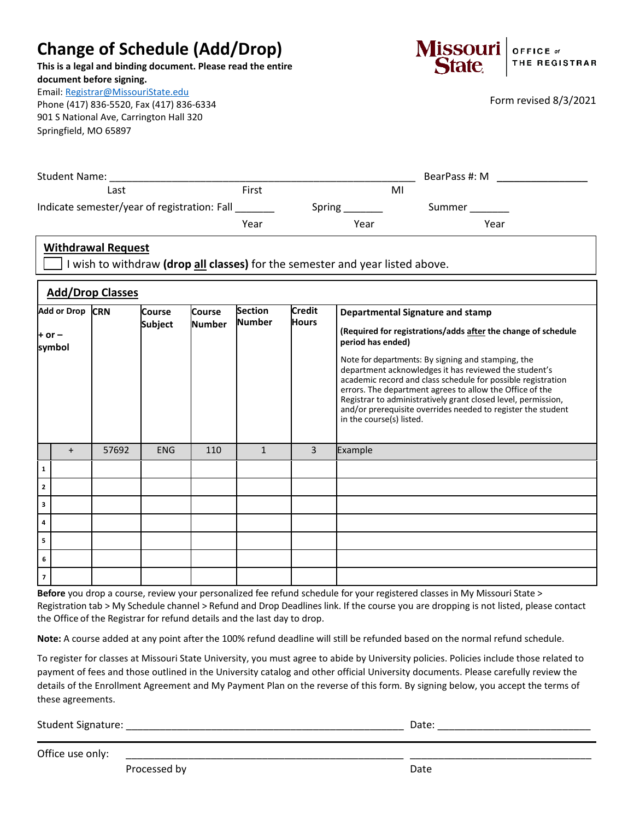## **Change of Schedule (Add/Drop)**

**This is a legal and binding document. Please read the entire document before signing.**

Email: [Registrar@MissouriState.edu](mailto:Registrar@MissouriState.edu)

Phone (417) 836-5520, Fax (417) 836-6334 901 S National Ave, Carrington Hall 320 Springfield, MO 65897



Form revised 8/3/2021

| <b>Student Name:</b>                         | BearPass #: M |        |        |
|----------------------------------------------|---------------|--------|--------|
| Last                                         | First         | M      |        |
| Indicate semester/year of registration: Fall |               | Spring | Summer |
|                                              | Year          | Year   | Year   |

## **Withdrawal Request**

I wish to withdraw **(drop all classes)** for the semester and year listed above.

| <b>Add/Drop Classes</b>             |     |       |                                 |                                |                                 |                               |                                                                                                                                                                                                                                                                                                                                                                                                                                                                                                                                       |  |  |
|-------------------------------------|-----|-------|---------------------------------|--------------------------------|---------------------------------|-------------------------------|---------------------------------------------------------------------------------------------------------------------------------------------------------------------------------------------------------------------------------------------------------------------------------------------------------------------------------------------------------------------------------------------------------------------------------------------------------------------------------------------------------------------------------------|--|--|
| Add or Drop CRN<br>+ or –<br>symbol |     |       | <b>Course</b><br><b>Subject</b> | <b>Course</b><br><b>Number</b> | <b>Section</b><br><b>Number</b> | <b>Credit</b><br><b>Hours</b> | <b>Departmental Signature and stamp</b><br>(Required for registrations/adds after the change of schedule<br>period has ended)<br>Note for departments: By signing and stamping, the<br>department acknowledges it has reviewed the student's<br>academic record and class schedule for possible registration<br>errors. The department agrees to allow the Office of the<br>Registrar to administratively grant closed level, permission,<br>and/or prerequisite overrides needed to register the student<br>in the course(s) listed. |  |  |
|                                     | $+$ | 57692 | <b>ENG</b>                      | 110                            | $\mathbf{1}$                    | 3                             | Example                                                                                                                                                                                                                                                                                                                                                                                                                                                                                                                               |  |  |
| 1                                   |     |       |                                 |                                |                                 |                               |                                                                                                                                                                                                                                                                                                                                                                                                                                                                                                                                       |  |  |
| $\overline{2}$                      |     |       |                                 |                                |                                 |                               |                                                                                                                                                                                                                                                                                                                                                                                                                                                                                                                                       |  |  |
| 3                                   |     |       |                                 |                                |                                 |                               |                                                                                                                                                                                                                                                                                                                                                                                                                                                                                                                                       |  |  |
| 4                                   |     |       |                                 |                                |                                 |                               |                                                                                                                                                                                                                                                                                                                                                                                                                                                                                                                                       |  |  |
| 5                                   |     |       |                                 |                                |                                 |                               |                                                                                                                                                                                                                                                                                                                                                                                                                                                                                                                                       |  |  |
| 6                                   |     |       |                                 |                                |                                 |                               |                                                                                                                                                                                                                                                                                                                                                                                                                                                                                                                                       |  |  |
| $\overline{7}$                      |     |       |                                 |                                |                                 |                               |                                                                                                                                                                                                                                                                                                                                                                                                                                                                                                                                       |  |  |

**Before** you drop a course, review your personalized fee refund schedule for your registered classes in My Missouri State > Registration tab > My Schedule channel > Refund and Drop Deadlines link. If the course you are dropping is not listed, please contact the Office of the Registrar for refund details and the last day to drop.

**Note:** A course added at any point after the 100% refund deadline will still be refunded based on the normal refund schedule.

To register for classes at Missouri State University, you must agree to abide by University policies. Policies include those related to payment of fees and those outlined in the University catalog and other official University documents. Please carefully review the details of the Enrollment Agreement and My Payment Plan on the reverse of this form. By signing below, you accept the terms of these agreements.

Student Signature: \_\_\_\_\_\_\_\_\_\_\_\_\_\_\_\_\_\_\_\_\_\_\_\_\_\_\_\_\_\_\_\_\_\_\_\_\_\_\_\_\_\_\_\_\_\_\_\_\_ Date: \_\_\_\_\_\_\_\_\_\_\_\_\_\_\_\_\_\_\_\_\_\_\_\_\_\_\_

Office use only:

Processed by Date and Date Date Date Date Date